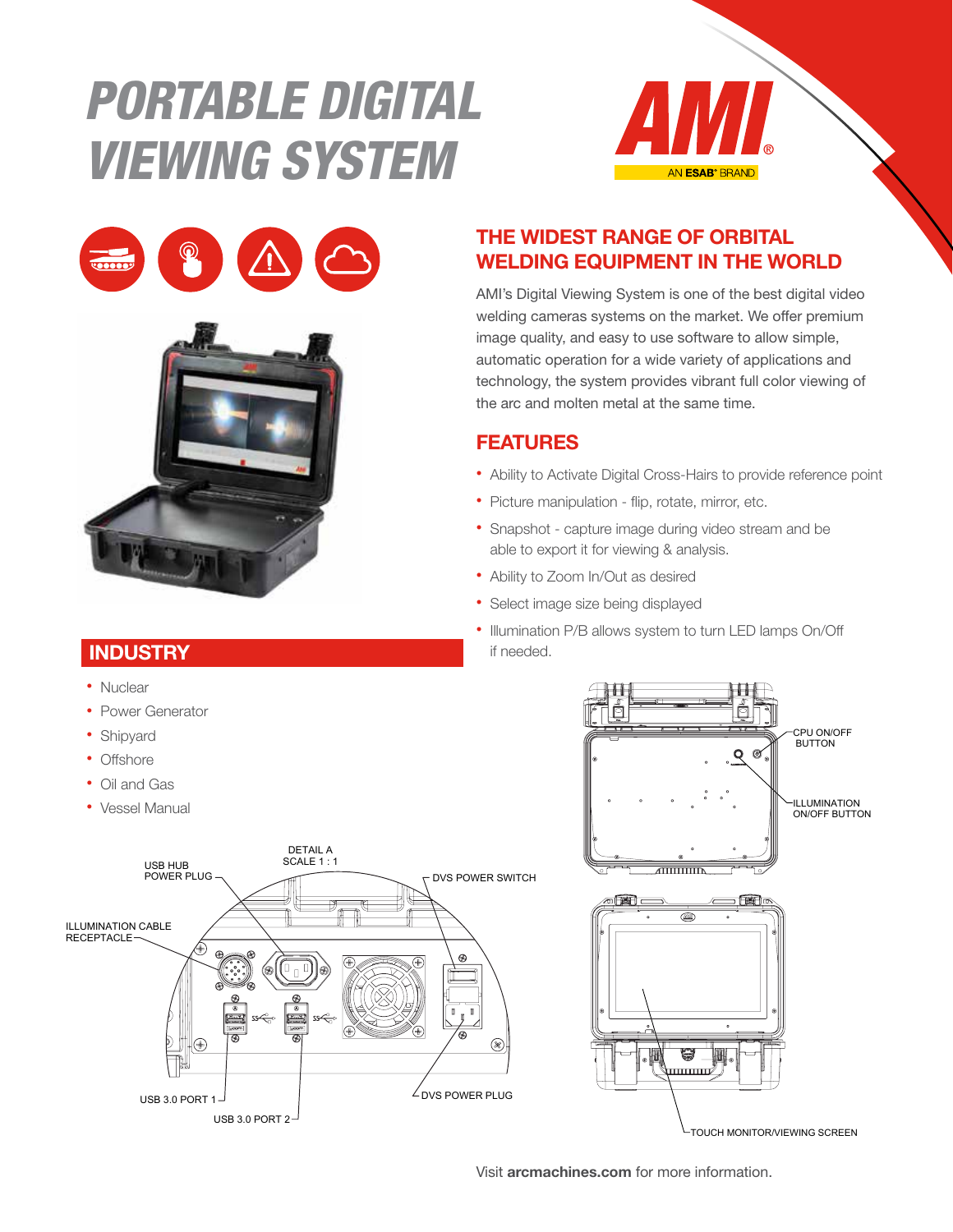# PORTABLE DIGITAL VIEWING SYSTEM







### **INDUSTRY**

- Nuclear
- Power Generator
- Shipyard
- Offshore
- Oil and Gas
- Vessel Manual



#### THE WIDEST RANGE OF ORBITAL WELDING EQUIPMENT IN THE WORLD

AMI's Digital Viewing System is one of the best digital video welding cameras systems on the market. We offer premium image quality, and easy to use software to allow simple, automatic operation for a wide variety of applications and technology, the system provides vibrant full color viewing of the arc and molten metal at the same time.

#### FEATURES

- Ability to Activate Digital Cross-Hairs to provide reference point
- Picture manipulation flip, rotate, mirror, etc.
- Snapshot capture image during video stream and be able to export it for viewing & analysis.
- Ability to Zoom In/Out as desired
- Select image size being displayed
- Illumination P/B allows system to turn LED lamps On/Off if needed.



TOUCH MONITOR/VIEWING SCREEN

Visit arcmachines.com for more information.